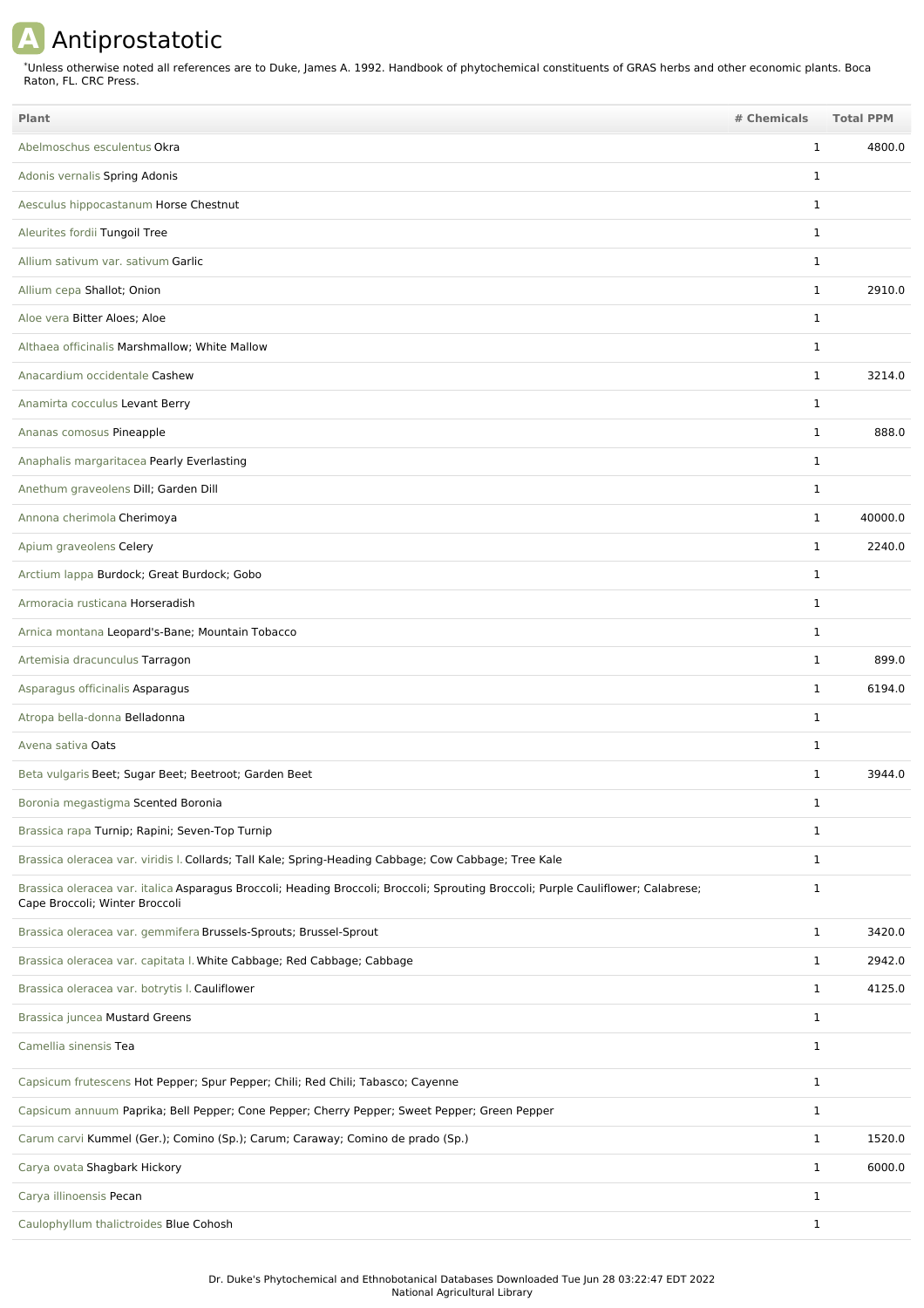## **A** Antiprostatotic

Unless otherwise noted all references are to Duke, James A. 1992. Handbook of phytochemical constituents of GRAS herbs and other economic plants. Boca Raton, FL. CRC Press. \*

| <b>Plant</b>                                                                                                                                                        | # Chemicals  | <b>Total PPM</b> |
|---------------------------------------------------------------------------------------------------------------------------------------------------------------------|--------------|------------------|
| Abelmoschus esculentus Okra                                                                                                                                         | $\mathbf{1}$ | 4800.0           |
| Adonis vernalis Spring Adonis                                                                                                                                       | $\mathbf{1}$ |                  |
| Aesculus hippocastanum Horse Chestnut                                                                                                                               | $\mathbf{1}$ |                  |
| Aleurites fordii Tungoil Tree                                                                                                                                       | $\mathbf{1}$ |                  |
| Allium sativum var. sativum Garlic                                                                                                                                  | $\mathbf{1}$ |                  |
| Allium cepa Shallot; Onion                                                                                                                                          | $\mathbf{1}$ | 2910.0           |
| Aloe vera Bitter Aloes; Aloe                                                                                                                                        | $\mathbf{1}$ |                  |
| Althaea officinalis Marshmallow; White Mallow                                                                                                                       | $\mathbf{1}$ |                  |
| Anacardium occidentale Cashew                                                                                                                                       | $\mathbf{1}$ | 3214.0           |
| Anamirta cocculus Levant Berry                                                                                                                                      | $\mathbf{1}$ |                  |
| Ananas comosus Pineapple                                                                                                                                            | $\mathbf{1}$ | 888.0            |
| Anaphalis margaritacea Pearly Everlasting                                                                                                                           | $\mathbf{1}$ |                  |
| Anethum graveolens Dill; Garden Dill                                                                                                                                | $\mathbf{1}$ |                  |
| Annona cherimola Cherimoya                                                                                                                                          | $\mathbf{1}$ | 40000.0          |
| Apium graveolens Celery                                                                                                                                             | $\mathbf{1}$ | 2240.0           |
| Arctium lappa Burdock; Great Burdock; Gobo                                                                                                                          | $\mathbf{1}$ |                  |
| Armoracia rusticana Horseradish                                                                                                                                     | $\mathbf{1}$ |                  |
| Arnica montana Leopard's-Bane; Mountain Tobacco                                                                                                                     | $\mathbf{1}$ |                  |
| Artemisia dracunculus Tarragon                                                                                                                                      | $\mathbf{1}$ | 899.0            |
| Asparagus officinalis Asparagus                                                                                                                                     | 1            | 6194.0           |
| Atropa bella-donna Belladonna                                                                                                                                       | $\mathbf{1}$ |                  |
| Avena sativa Oats                                                                                                                                                   | $\mathbf{1}$ |                  |
| Beta vulgaris Beet; Sugar Beet; Beetroot; Garden Beet                                                                                                               | $\mathbf{1}$ | 3944.0           |
| Boronia megastigma Scented Boronia                                                                                                                                  |              |                  |
| Brassica rapa Turnip; Rapini; Seven-Top Turnip                                                                                                                      | 1            |                  |
| Brassica oleracea var. viridis I. Collards; Tall Kale; Spring-Heading Cabbage; Cow Cabbage; Tree Kale                                                               | $\mathbf{1}$ |                  |
| Brassica oleracea var. italica Asparagus Broccoli; Heading Broccoli; Broccoli; Sprouting Broccoli; Purple Cauliflower; Calabrese;<br>Cape Broccoli; Winter Broccoli | $\mathbf{1}$ |                  |
| Brassica oleracea var. gemmifera Brussels-Sprouts; Brussel-Sprout                                                                                                   | $\mathbf{1}$ | 3420.0           |
| Brassica oleracea var. capitata I. White Cabbage; Red Cabbage; Cabbage                                                                                              | $\mathbf{1}$ | 2942.0           |
| Brassica oleracea var. botrytis I. Cauliflower                                                                                                                      | $\mathbf{1}$ | 4125.0           |
| Brassica juncea Mustard Greens                                                                                                                                      | $\mathbf{1}$ |                  |
| Camellia sinensis Tea                                                                                                                                               | $\mathbf{1}$ |                  |
| Capsicum frutescens Hot Pepper; Spur Pepper; Chili; Red Chili; Tabasco; Cayenne                                                                                     | $\mathbf{1}$ |                  |
| Capsicum annuum Paprika; Bell Pepper; Cone Pepper; Cherry Pepper; Sweet Pepper; Green Pepper                                                                        | $\mathbf{1}$ |                  |
| Carum carvi Kummel (Ger.); Comino (Sp.); Carum; Caraway; Comino de prado (Sp.)                                                                                      | $\mathbf{1}$ | 1520.0           |
| Carya ovata Shagbark Hickory                                                                                                                                        | $\mathbf{1}$ | 6000.0           |
| Carya illinoensis Pecan                                                                                                                                             | $\mathbf{1}$ |                  |
| Caulophyllum thalictroides Blue Cohosh                                                                                                                              | $\mathbf{1}$ |                  |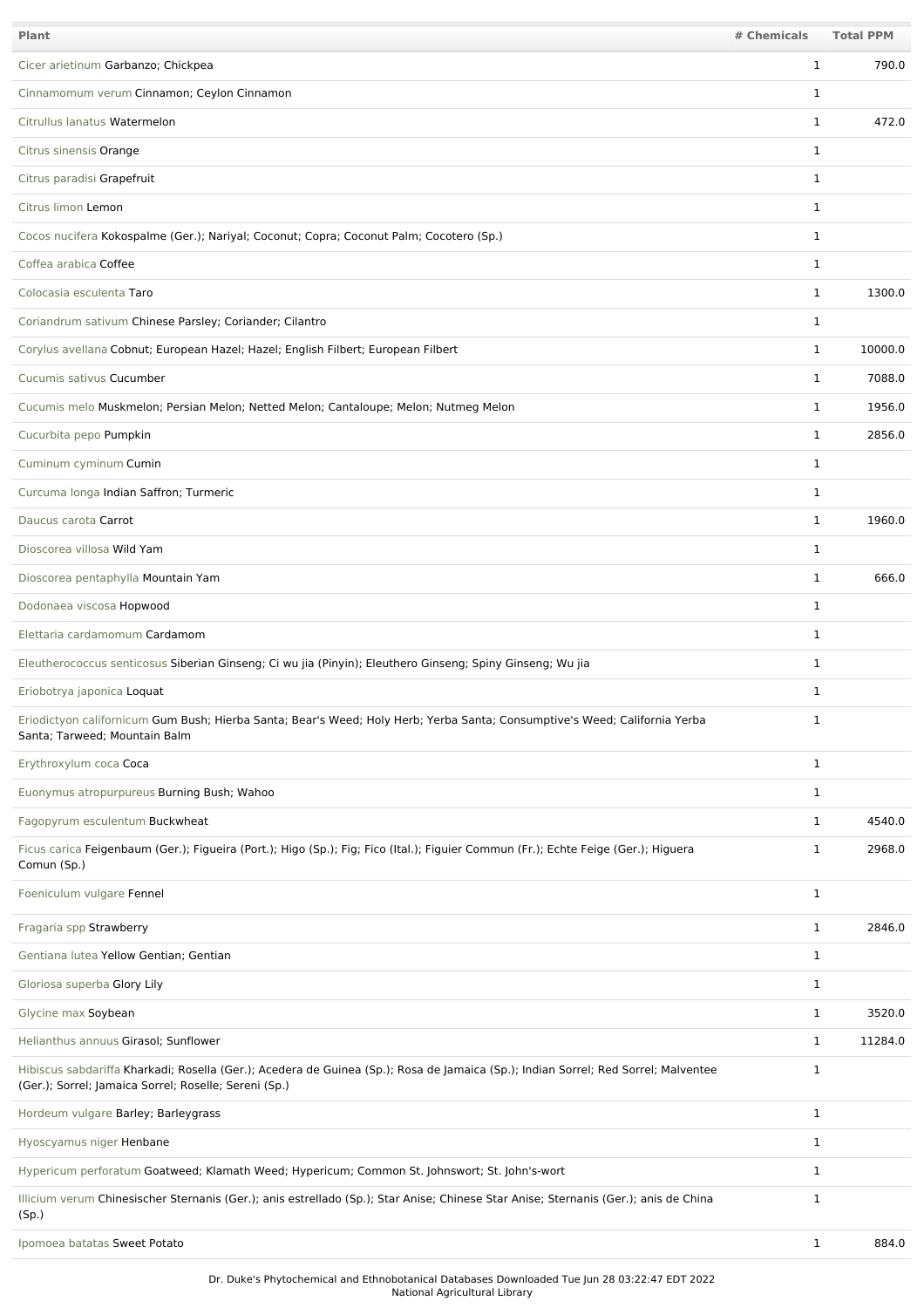| Plant                                                                                                                                                                                       | # Chemicals  | <b>Total PPM</b> |
|---------------------------------------------------------------------------------------------------------------------------------------------------------------------------------------------|--------------|------------------|
| Cicer arietinum Garbanzo; Chickpea                                                                                                                                                          | $\mathbf{1}$ | 790.0            |
| Cinnamomum verum Cinnamon; Ceylon Cinnamon                                                                                                                                                  | 1            |                  |
| Citrullus lanatus Watermelon                                                                                                                                                                | $\mathbf{1}$ | 472.0            |
| Citrus sinensis Orange                                                                                                                                                                      | $\mathbf 1$  |                  |
| Citrus paradisi Grapefruit                                                                                                                                                                  | 1            |                  |
| Citrus limon Lemon                                                                                                                                                                          | $\mathbf 1$  |                  |
| Cocos nucifera Kokospalme (Ger.); Nariyal; Coconut; Copra; Coconut Palm; Cocotero (Sp.)                                                                                                     | $\mathbf 1$  |                  |
| Coffea arabica Coffee                                                                                                                                                                       | $\mathbf 1$  |                  |
| Colocasia esculenta Taro                                                                                                                                                                    | $\mathbf 1$  | 1300.0           |
| Coriandrum sativum Chinese Parsley; Coriander; Cilantro                                                                                                                                     | 1            |                  |
| Corylus avellana Cobnut; European Hazel; Hazel; English Filbert; European Filbert                                                                                                           | $\mathbf{1}$ | 10000.0          |
| Cucumis sativus Cucumber                                                                                                                                                                    | $\mathbf{1}$ | 7088.0           |
| Cucumis melo Muskmelon; Persian Melon; Netted Melon; Cantaloupe; Melon; Nutmeg Melon                                                                                                        | $\mathbf 1$  | 1956.0           |
| Cucurbita pepo Pumpkin                                                                                                                                                                      | $\mathbf{1}$ | 2856.0           |
| Cuminum cyminum Cumin                                                                                                                                                                       | $\mathbf 1$  |                  |
| Curcuma longa Indian Saffron; Turmeric                                                                                                                                                      | $\mathbf 1$  |                  |
| Daucus carota Carrot                                                                                                                                                                        | $\mathbf{1}$ | 1960.0           |
| Dioscorea villosa Wild Yam                                                                                                                                                                  | 1            |                  |
| Dioscorea pentaphylla Mountain Yam                                                                                                                                                          | 1            | 666.0            |
| Dodonaea viscosa Hopwood                                                                                                                                                                    | $\mathbf 1$  |                  |
| Elettaria cardamomum Cardamom                                                                                                                                                               | $\mathbf 1$  |                  |
| Eleutherococcus senticosus Siberian Ginseng; Ci wu jia (Pinyin); Eleuthero Ginseng; Spiny Ginseng; Wu jia                                                                                   | 1            |                  |
| Eriobotrya japonica Loquat                                                                                                                                                                  | $\mathbf 1$  |                  |
| Eriodictyon californicum Gum Bush; Hierba Santa; Bear's Weed; Holy Herb; Yerba Santa; Consumptive's Weed; California Yerba<br>Santa; Tarweed; Mountain Balm                                 | 1            |                  |
| Erythroxylum coca Coca                                                                                                                                                                      | $\mathbf{1}$ |                  |
| Euonymus atropurpureus Burning Bush; Wahoo                                                                                                                                                  | $\mathbf{1}$ |                  |
| Fagopyrum esculentum Buckwheat                                                                                                                                                              | $\mathbf{1}$ | 4540.0           |
| Ficus carica Feigenbaum (Ger.); Figueira (Port.); Higo (Sp.); Fig; Fico (Ital.); Figuier Commun (Fr.); Echte Feige (Ger.); Higuera<br>Comun (Sp.)                                           | 1            | 2968.0           |
| Foeniculum vulgare Fennel                                                                                                                                                                   | $\mathbf{1}$ |                  |
| Fragaria spp Strawberry                                                                                                                                                                     | $\mathbf{1}$ | 2846.0           |
| Gentiana lutea Yellow Gentian; Gentian                                                                                                                                                      | $\mathbf{1}$ |                  |
| Gloriosa superba Glory Lily                                                                                                                                                                 | $\mathbf{1}$ |                  |
| Glycine max Soybean                                                                                                                                                                         | $\mathbf{1}$ | 3520.0           |
| Helianthus annuus Girasol; Sunflower                                                                                                                                                        | $\mathbf{1}$ | 11284.0          |
| Hibiscus sabdariffa Kharkadi; Rosella (Ger.); Acedera de Guinea (Sp.); Rosa de Jamaica (Sp.); Indian Sorrel; Red Sorrel; Malventee<br>(Ger.); Sorrel; Jamaica Sorrel; Roselle; Sereni (Sp.) | 1            |                  |
| Hordeum vulgare Barley; Barleygrass                                                                                                                                                         | $\mathbf{1}$ |                  |
| Hyoscyamus niger Henbane                                                                                                                                                                    | $\mathbf{1}$ |                  |
| Hypericum perforatum Goatweed; Klamath Weed; Hypericum; Common St. Johnswort; St. John's-wort                                                                                               | $\mathbf{1}$ |                  |
| Illicium verum Chinesischer Sternanis (Ger.); anis estrellado (Sp.); Star Anise; Chinese Star Anise; Sternanis (Ger.); anis de China<br>(Sp.)                                               | 1            |                  |
| Ipomoea batatas Sweet Potato                                                                                                                                                                | $\mathbf{1}$ | 884.0            |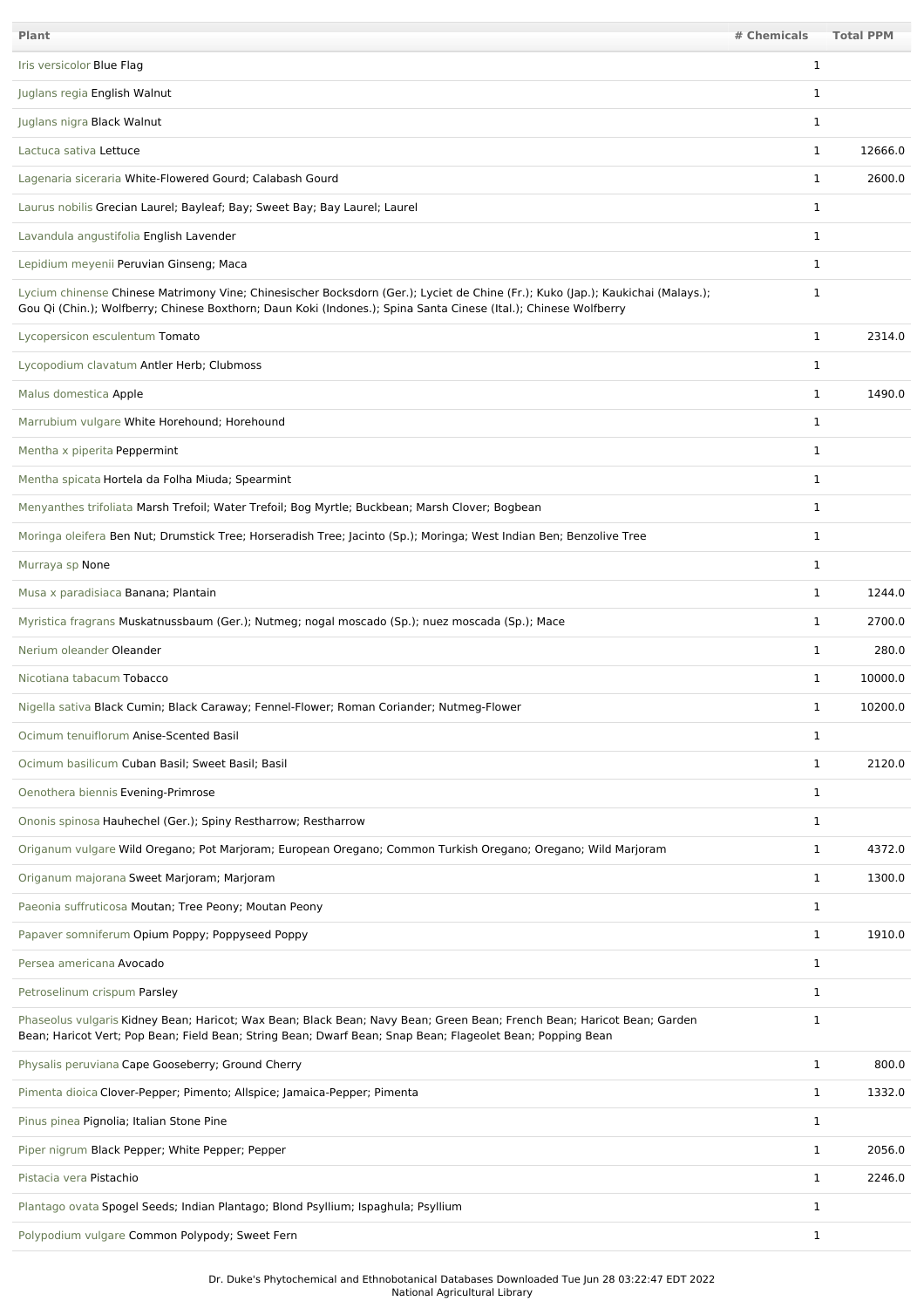| Plant                                                                                                                                                                                                                                               | # Chemicals  | <b>Total PPM</b> |
|-----------------------------------------------------------------------------------------------------------------------------------------------------------------------------------------------------------------------------------------------------|--------------|------------------|
| Iris versicolor Blue Flag                                                                                                                                                                                                                           | 1            |                  |
| Juglans regia English Walnut                                                                                                                                                                                                                        | 1            |                  |
| Juglans nigra Black Walnut                                                                                                                                                                                                                          | $\mathbf 1$  |                  |
| Lactuca sativa Lettuce                                                                                                                                                                                                                              | $\mathbf{1}$ | 12666.0          |
| Lagenaria siceraria White-Flowered Gourd; Calabash Gourd                                                                                                                                                                                            | $\mathbf 1$  | 2600.0           |
| Laurus nobilis Grecian Laurel; Bayleaf; Bay; Sweet Bay; Bay Laurel; Laurel                                                                                                                                                                          | 1            |                  |
| Lavandula angustifolia English Lavender                                                                                                                                                                                                             | $\mathbf 1$  |                  |
| Lepidium meyenii Peruvian Ginseng; Maca                                                                                                                                                                                                             | $\mathbf{1}$ |                  |
| Lycium chinense Chinese Matrimony Vine; Chinesischer Bocksdorn (Ger.); Lyciet de Chine (Fr.); Kuko (Jap.); Kaukichai (Malays.);<br>Gou Qi (Chin.); Wolfberry; Chinese Boxthorn; Daun Koki (Indones.); Spina Santa Cinese (Ital.); Chinese Wolfberry | $\mathbf 1$  |                  |
| Lycopersicon esculentum Tomato                                                                                                                                                                                                                      | $\mathbf{1}$ | 2314.0           |
| Lycopodium clavatum Antler Herb; Clubmoss                                                                                                                                                                                                           | 1            |                  |
| Malus domestica Apple                                                                                                                                                                                                                               | $\mathbf{1}$ | 1490.0           |
| Marrubium vulgare White Horehound; Horehound                                                                                                                                                                                                        | $\mathbf 1$  |                  |
| Mentha x piperita Peppermint                                                                                                                                                                                                                        | $\mathbf{1}$ |                  |
| Mentha spicata Hortela da Folha Miuda; Spearmint                                                                                                                                                                                                    | $\mathbf 1$  |                  |
| Menyanthes trifoliata Marsh Trefoil; Water Trefoil; Bog Myrtle; Buckbean; Marsh Clover; Bogbean                                                                                                                                                     | $\mathbf 1$  |                  |
| Moringa oleifera Ben Nut; Drumstick Tree; Horseradish Tree; Jacinto (Sp.); Moringa; West Indian Ben; Benzolive Tree                                                                                                                                 | 1            |                  |
| Murraya sp None                                                                                                                                                                                                                                     | $\mathbf 1$  |                  |
| Musa x paradisiaca Banana; Plantain                                                                                                                                                                                                                 | 1            | 1244.0           |
| Myristica fragrans Muskatnussbaum (Ger.); Nutmeg; nogal moscado (Sp.); nuez moscada (Sp.); Mace                                                                                                                                                     | 1            | 2700.0           |
| Nerium oleander Oleander                                                                                                                                                                                                                            | 1            | 280.0            |
| Nicotiana tabacum Tobacco                                                                                                                                                                                                                           | $\mathbf{1}$ | 10000.0          |
| Nigella sativa Black Cumin; Black Caraway; Fennel-Flower; Roman Coriander; Nutmeg-Flower                                                                                                                                                            | $\mathbf 1$  | 10200.0          |
| Ocimum tenuiflorum Anise-Scented Basil                                                                                                                                                                                                              | $\mathbf 1$  |                  |
| Ocimum basilicum Cuban Basil; Sweet Basil; Basil                                                                                                                                                                                                    | $\mathbf{1}$ | 2120.0           |
| Oenothera biennis Evening-Primrose                                                                                                                                                                                                                  | $\mathbf{1}$ |                  |
| Ononis spinosa Hauhechel (Ger.); Spiny Restharrow; Restharrow                                                                                                                                                                                       | $\mathbf{1}$ |                  |
| Origanum vulgare Wild Oregano; Pot Marjoram; European Oregano; Common Turkish Oregano; Oregano; Wild Marjoram                                                                                                                                       | $\mathbf{1}$ | 4372.0           |
| Origanum majorana Sweet Marjoram; Marjoram                                                                                                                                                                                                          | $\mathbf{1}$ | 1300.0           |
| Paeonia suffruticosa Moutan; Tree Peony; Moutan Peony                                                                                                                                                                                               | $\mathbf{1}$ |                  |
| Papaver somniferum Opium Poppy; Poppyseed Poppy                                                                                                                                                                                                     | $\mathbf{1}$ | 1910.0           |
| Persea americana Avocado                                                                                                                                                                                                                            | $\mathbf{1}$ |                  |
| Petroselinum crispum Parsley                                                                                                                                                                                                                        | $\mathbf{1}$ |                  |
| Phaseolus vulgaris Kidney Bean; Haricot; Wax Bean; Black Bean; Navy Bean; Green Bean; French Bean; Haricot Bean; Garden<br>Bean; Haricot Vert; Pop Bean; Field Bean; String Bean; Dwarf Bean; Snap Bean; Flageolet Bean; Popping Bean               | $\mathbf{1}$ |                  |
| Physalis peruviana Cape Gooseberry; Ground Cherry                                                                                                                                                                                                   | $\mathbf{1}$ | 800.0            |
| Pimenta dioica Clover-Pepper; Pimento; Allspice; Jamaica-Pepper; Pimenta                                                                                                                                                                            | $\mathbf{1}$ | 1332.0           |
| Pinus pinea Pignolia; Italian Stone Pine                                                                                                                                                                                                            | $\mathbf{1}$ |                  |
| Piper nigrum Black Pepper; White Pepper; Pepper                                                                                                                                                                                                     | $\mathbf{1}$ | 2056.0           |
| Pistacia vera Pistachio                                                                                                                                                                                                                             | $\mathbf{1}$ | 2246.0           |
| Plantago ovata Spogel Seeds; Indian Plantago; Blond Psyllium; Ispaghula; Psyllium                                                                                                                                                                   | $\mathbf{1}$ |                  |
| Polypodium vulgare Common Polypody; Sweet Fern                                                                                                                                                                                                      | $\mathbf{1}$ |                  |